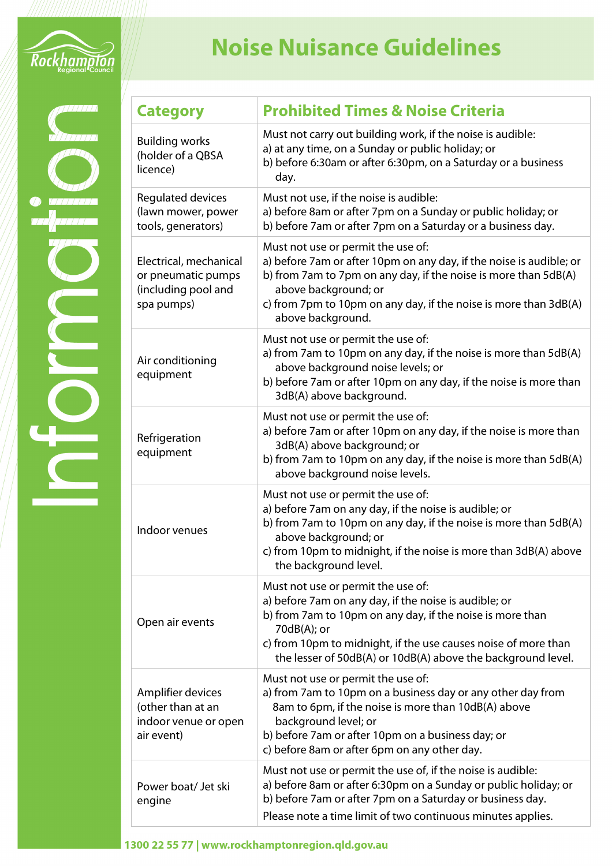

## **Noise Nuisance Guidelines**

| <b>Category</b>                                                                   | <b>Prohibited Times &amp; Noise Criteria</b>                                                                                                                                                                                                                                                                |
|-----------------------------------------------------------------------------------|-------------------------------------------------------------------------------------------------------------------------------------------------------------------------------------------------------------------------------------------------------------------------------------------------------------|
| <b>Building works</b><br>(holder of a QBSA<br>licence)                            | Must not carry out building work, if the noise is audible:<br>a) at any time, on a Sunday or public holiday; or<br>b) before 6:30am or after 6:30pm, on a Saturday or a business<br>day.                                                                                                                    |
| Regulated devices<br>(lawn mower, power<br>tools, generators)                     | Must not use, if the noise is audible:<br>a) before 8am or after 7pm on a Sunday or public holiday; or<br>b) before 7am or after 7pm on a Saturday or a business day.                                                                                                                                       |
| Electrical, mechanical<br>or pneumatic pumps<br>(including pool and<br>spa pumps) | Must not use or permit the use of:<br>a) before 7am or after 10pm on any day, if the noise is audible; or<br>b) from 7am to 7pm on any day, if the noise is more than 5dB(A)<br>above background; or<br>c) from 7pm to 10pm on any day, if the noise is more than 3dB(A)<br>above background.               |
| Air conditioning<br>equipment                                                     | Must not use or permit the use of:<br>a) from 7am to 10pm on any day, if the noise is more than 5dB(A)<br>above background noise levels; or<br>b) before 7am or after 10pm on any day, if the noise is more than<br>3dB(A) above background.                                                                |
| Refrigeration<br>equipment                                                        | Must not use or permit the use of:<br>a) before 7am or after 10pm on any day, if the noise is more than<br>3dB(A) above background; or<br>b) from 7am to 10pm on any day, if the noise is more than 5dB(A)<br>above background noise levels.                                                                |
| Indoor venues                                                                     | Must not use or permit the use of:<br>a) before 7am on any day, if the noise is audible; or<br>b) from 7am to 10pm on any day, if the noise is more than 5dB(A)<br>above background; or<br>c) from 10pm to midnight, if the noise is more than 3dB(A) above<br>the background level.                        |
| Open air events                                                                   | Must not use or permit the use of:<br>a) before 7am on any day, if the noise is audible; or<br>b) from 7am to 10pm on any day, if the noise is more than<br>$70dB(A);$ or<br>c) from 10pm to midnight, if the use causes noise of more than<br>the lesser of 50dB(A) or 10dB(A) above the background level. |
| Amplifier devices<br>(other than at an<br>indoor venue or open<br>air event)      | Must not use or permit the use of:<br>a) from 7am to 10pm on a business day or any other day from<br>8am to 6pm, if the noise is more than 10dB(A) above<br>background level; or<br>b) before 7am or after 10pm on a business day; or<br>c) before 8am or after 6pm on any other day.                       |
| Power boat/ Jet ski<br>engine                                                     | Must not use or permit the use of, if the noise is audible:<br>a) before 8am or after 6:30pm on a Sunday or public holiday; or<br>b) before 7am or after 7pm on a Saturday or business day.<br>Please note a time limit of two continuous minutes applies.                                                  |